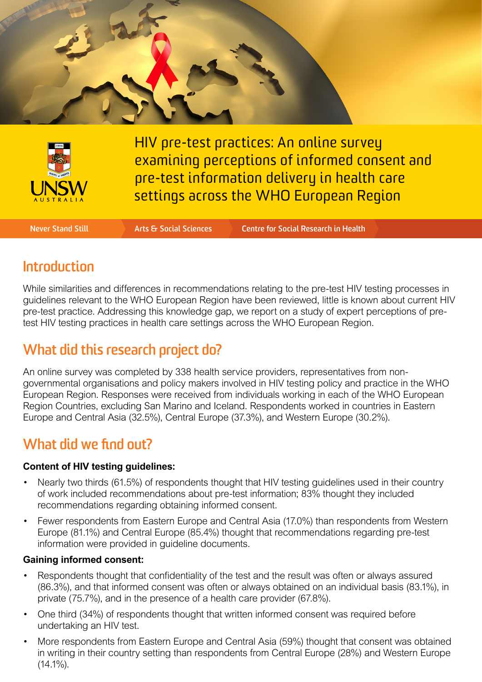



HIV pre-test practices: An online survey examining perceptions of informed consent and pre-test information delivery in health care settings across the WHO European Region

**Never Stand Still Arts & Social Sciences Centre for Social Research in Health**

### **Introduction**

While similarities and differences in recommendations relating to the pre-test HIV testing processes in guidelines relevant to the WHO European Region have been reviewed, little is known about current HIV pre-test practice. Addressing this knowledge gap, we report on a study of expert perceptions of pretest HIV testing practices in health care settings across the WHO European Region.

# **What did this research project do?**

An online survey was completed by 338 health service providers, representatives from nongovernmental organisations and policy makers involved in HIV testing policy and practice in the WHO European Region. Responses were received from individuals working in each of the WHO European Region Countries, excluding San Marino and Iceland. Respondents worked in countries in Eastern Europe and Central Asia (32.5%), Central Europe (37.3%), and Western Europe (30.2%).

### **What did we find out?**

#### **Content of HIV testing guidelines:**

- Nearly two thirds (61.5%) of respondents thought that HIV testing guidelines used in their country of work included recommendations about pre-test information; 83% thought they included recommendations regarding obtaining informed consent.
- Fewer respondents from Eastern Europe and Central Asia (17.0%) than respondents from Western Europe (81.1%) and Central Europe (85.4%) thought that recommendations regarding pre-test information were provided in guideline documents.

#### **Gaining informed consent:**

- Respondents thought that confidentiality of the test and the result was often or always assured (86.3%), and that informed consent was often or always obtained on an individual basis (83.1%), in private (75.7%), and in the presence of a health care provider (67.8%).
- One third (34%) of respondents thought that written informed consent was required before undertaking an HIV test.
- More respondents from Eastern Europe and Central Asia (59%) thought that consent was obtained in writing in their country setting than respondents from Central Europe (28%) and Western Europe  $(14.1\%)$ .